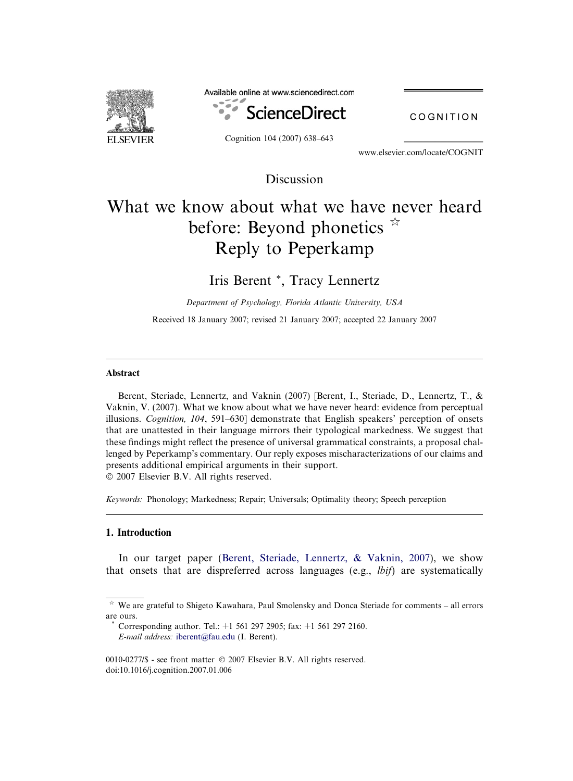

Available online at www.sciencedirect.com



COGNITION

Cognition 104 (2007) 638–643

www.elsevier.com/locate/COGNIT

Discussion

# What we know about what we have never heard before: Beyond phonetics  $\vec{r}$ Reply to Peperkamp

Iris Berent \*, Tracy Lennertz

Department of Psychology, Florida Atlantic University, USA Received 18 January 2007; revised 21 January 2007; accepted 22 January 2007

### Abstract

Berent, Steriade, Lennertz, and Vaknin (2007) [Berent, I., Steriade, D., Lennertz, T., & Vaknin, V. (2007). What we know about what we have never heard: evidence from perceptual illusions. Cognition, 104, 591–630] demonstrate that English speakers' perception of onsets that are unattested in their language mirrors their typological markedness. We suggest that these findings might reflect the presence of universal grammatical constraints, a proposal challenged by Peperkamp's commentary. Our reply exposes mischaracterizations of our claims and presents additional empirical arguments in their support.  $© 2007 Elsevier B.V. All rights reserved.$ 

Keywords: Phonology; Markedness; Repair; Universals; Optimality theory; Speech perception

## 1. Introduction

In our target paper ([Berent, Steriade, Lennertz, & Vaknin, 2007\)](#page-4-0), we show that onsets that are dispreferred across languages (e.g.,  $libif$ ) are systematically

 $\dot{\gamma}$  We are grateful to Shigeto Kawahara, Paul Smolensky and Donca Steriade for comments – all errors are ours.

Corresponding author. Tel.: +1 561 297 2905; fax: +1 561 297 2160. E-mail address: [iberent@fau.edu](mailto:iberent@fau.edu) (I. Berent).

<sup>0010-0277/\$ -</sup> see front matter © 2007 Elsevier B.V. All rights reserved. doi:10.1016/j.cognition.2007.01.006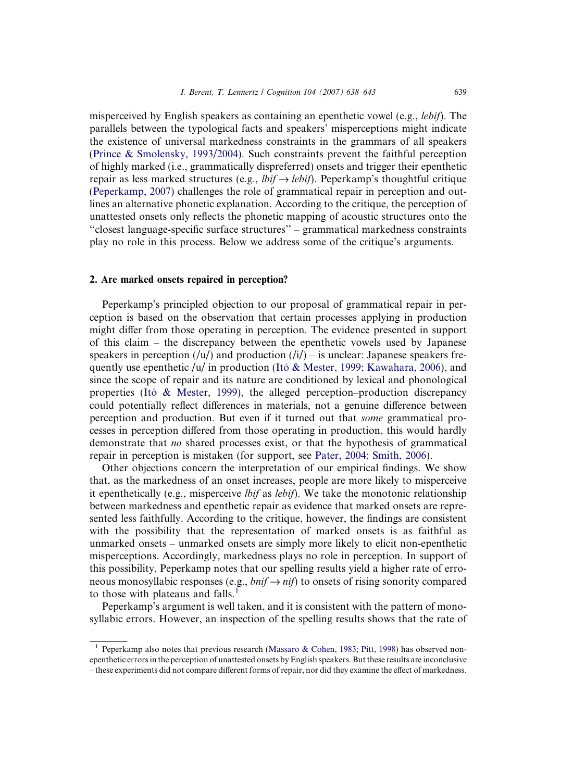misperceived by English speakers as containing an epenthetic vowel (e.g., *lebif*). The parallels between the typological facts and speakers' misperceptions might indicate the existence of universal markedness constraints in the grammars of all speakers [\(Prince & Smolensky, 1993/2004](#page-5-0)). Such constraints prevent the faithful perception of highly marked (i.e., grammatically dispreferred) onsets and trigger their epenthetic repair as less marked structures (e.g., *lbif*  $\rightarrow$  *lebif*). Peperkamp's thoughtful critique [\(Peperkamp, 2007](#page-5-0)) challenges the role of grammatical repair in perception and outlines an alternative phonetic explanation. According to the critique, the perception of unattested onsets only reflects the phonetic mapping of acoustic structures onto the ''closest language-specific surface structures'' – grammatical markedness constraints play no role in this process. Below we address some of the critique's arguments.

#### 2. Are marked onsets repaired in perception?

Peperkamp's principled objection to our proposal of grammatical repair in perception is based on the observation that certain processes applying in production might differ from those operating in perception. The evidence presented in support of this claim – the discrepancy between the epenthetic vowels used by Japanese speakers in perception  $(\overline{u})$  and production  $(\overline{u})$  – is unclear: Japanese speakers fre-quently use epenthetic /u/ in production (Itô [& Mester, 1999; Kawahara, 2006\)](#page-4-0), and since the scope of repair and its nature are conditioned by lexical and phonological properties (Itô [& Mester, 1999\)](#page-4-0), the alleged perception–production discrepancy could potentially reflect differences in materials, not a genuine difference between perception and production. But even if it turned out that some grammatical processes in perception differed from those operating in production, this would hardly demonstrate that no shared processes exist, or that the hypothesis of grammatical repair in perception is mistaken (for support, see [Pater, 2004; Smith, 2006](#page-5-0)).

Other objections concern the interpretation of our empirical findings. We show that, as the markedness of an onset increases, people are more likely to misperceive it epenthetically (e.g., misperceive *lbif* as *lebif*). We take the monotonic relationship between markedness and epenthetic repair as evidence that marked onsets are represented less faithfully. According to the critique, however, the findings are consistent with the possibility that the representation of marked onsets is as faithful as unmarked onsets – unmarked onsets are simply more likely to elicit non-epenthetic misperceptions. Accordingly, markedness plays no role in perception. In support of this possibility, Peperkamp notes that our spelling results yield a higher rate of erroneous monosyllabic responses (e.g., *bnif*  $\rightarrow$  *nif*) to onsets of rising sonority compared to those with plateaus and falls.<sup>1</sup>

Peperkamp's argument is well taken, and it is consistent with the pattern of monosyllabic errors. However, an inspection of the spelling results shows that the rate of

<sup>&</sup>lt;sup>1</sup> Peperkamp also notes that previous research [\(Massaro & Cohen, 1983; Pitt, 1998](#page-5-0)) has observed nonepenthetic errors in the perception of unattested onsets by English speakers. But these results are inconclusive – these experiments did not compare different forms of repair, nor did they examine the effect of markedness.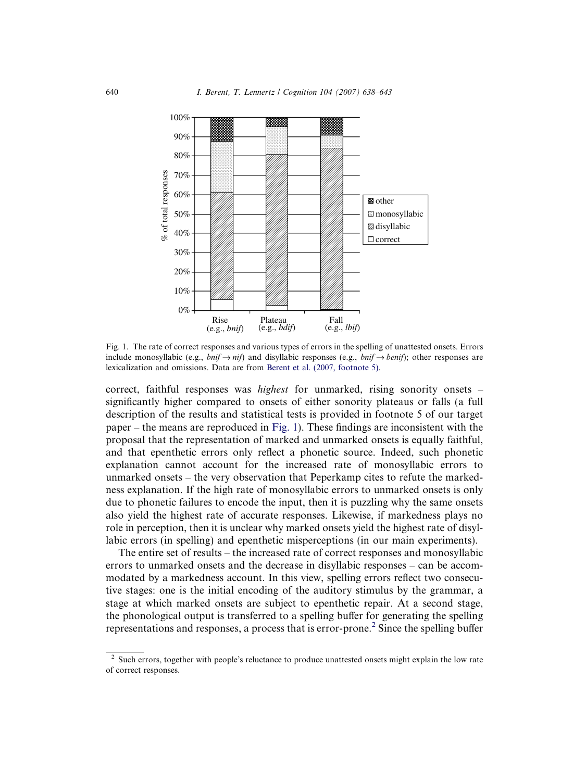

Fig. 1. The rate of correct responses and various types of errors in the spelling of unattested onsets. Errors include monosyllabic (e.g., bnif  $\rightarrow$  nif) and disyllabic responses (e.g., bnif  $\rightarrow$  benif); other responses are lexicalization and omissions. Data are from [Berent et al. \(2007, footnote 5\).](#page-4-0)

correct, faithful responses was *highest* for unmarked, rising sonority onsets – significantly higher compared to onsets of either sonority plateaus or falls (a full description of the results and statistical tests is provided in footnote 5 of our target paper – the means are reproduced in Fig. 1). These findings are inconsistent with the proposal that the representation of marked and unmarked onsets is equally faithful, and that epenthetic errors only reflect a phonetic source. Indeed, such phonetic explanation cannot account for the increased rate of monosyllabic errors to unmarked onsets – the very observation that Peperkamp cites to refute the markedness explanation. If the high rate of monosyllabic errors to unmarked onsets is only due to phonetic failures to encode the input, then it is puzzling why the same onsets also yield the highest rate of accurate responses. Likewise, if markedness plays no role in perception, then it is unclear why marked onsets yield the highest rate of disyllabic errors (in spelling) and epenthetic misperceptions (in our main experiments).

The entire set of results – the increased rate of correct responses and monosyllabic errors to unmarked onsets and the decrease in disyllabic responses – can be accommodated by a markedness account. In this view, spelling errors reflect two consecutive stages: one is the initial encoding of the auditory stimulus by the grammar, a stage at which marked onsets are subject to epenthetic repair. At a second stage, the phonological output is transferred to a spelling buffer for generating the spelling representations and responses, a process that is error-prone.<sup>2</sup> Since the spelling buffer

<sup>2</sup> Such errors, together with people's reluctance to produce unattested onsets might explain the low rate of correct responses.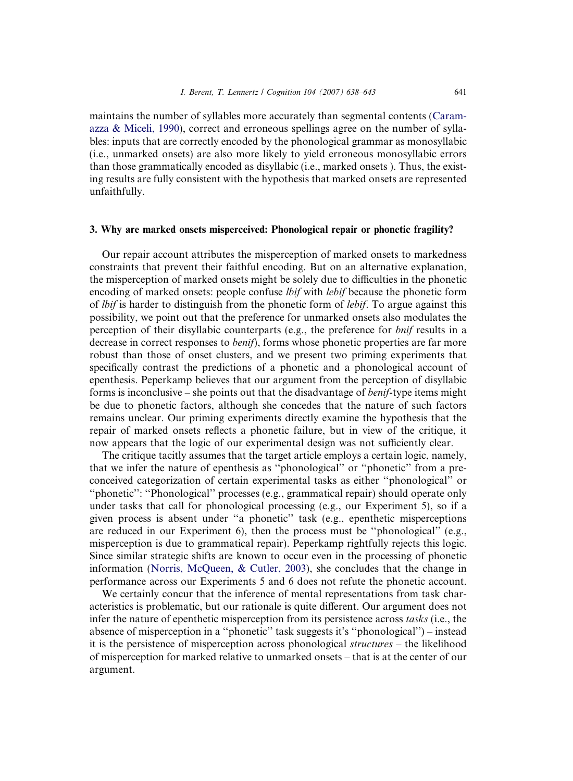maintains the number of syllables more accurately than segmental contents [\(Caram](#page-4-0)azza  $\&$  Miceli, 1990), correct and erroneous spellings agree on the number of syllables: inputs that are correctly encoded by the phonological grammar as monosyllabic (i.e., unmarked onsets) are also more likely to yield erroneous monosyllabic errors than those grammatically encoded as disyllabic (i.e., marked onsets ). Thus, the existing results are fully consistent with the hypothesis that marked onsets are represented unfaithfully.

#### 3. Why are marked onsets misperceived: Phonological repair or phonetic fragility?

Our repair account attributes the misperception of marked onsets to markedness constraints that prevent their faithful encoding. But on an alternative explanation, the misperception of marked onsets might be solely due to difficulties in the phonetic encoding of marked onsets: people confuse *lbif* with *lebif* because the phonetic form of *lbif* is harder to distinguish from the phonetic form of *lebif*. To argue against this possibility, we point out that the preference for unmarked onsets also modulates the perception of their disyllabic counterparts (e.g., the preference for *bnif* results in a decrease in correct responses to *benif*), forms whose phonetic properties are far more robust than those of onset clusters, and we present two priming experiments that specifically contrast the predictions of a phonetic and a phonological account of epenthesis. Peperkamp believes that our argument from the perception of disyllabic forms is inconclusive – she points out that the disadvantage of *benif*-type items might be due to phonetic factors, although she concedes that the nature of such factors remains unclear. Our priming experiments directly examine the hypothesis that the repair of marked onsets reflects a phonetic failure, but in view of the critique, it now appears that the logic of our experimental design was not sufficiently clear.

The critique tacitly assumes that the target article employs a certain logic, namely, that we infer the nature of epenthesis as ''phonological'' or ''phonetic'' from a preconceived categorization of certain experimental tasks as either ''phonological'' or ''phonetic'': ''Phonological'' processes (e.g., grammatical repair) should operate only under tasks that call for phonological processing  $(e.g.,\,our Experiment\,5)$ , so if a given process is absent under ''a phonetic'' task (e.g., epenthetic misperceptions are reduced in our Experiment 6), then the process must be ''phonological'' (e.g., misperception is due to grammatical repair). Peperkamp rightfully rejects this logic. Since similar strategic shifts are known to occur even in the processing of phonetic information (Norris, McQueen,  $\&$  Cutler, 2003), she concludes that the change in performance across our Experiments 5 and 6 does not refute the phonetic account.

We certainly concur that the inference of mental representations from task characteristics is problematic, but our rationale is quite different. Our argument does not infer the nature of epenthetic misperception from its persistence across tasks (i.e., the absence of misperception in a ''phonetic'' task suggests it's ''phonological'') – instead it is the persistence of misperception across phonological structures – the likelihood of misperception for marked relative to unmarked onsets – that is at the center of our argument.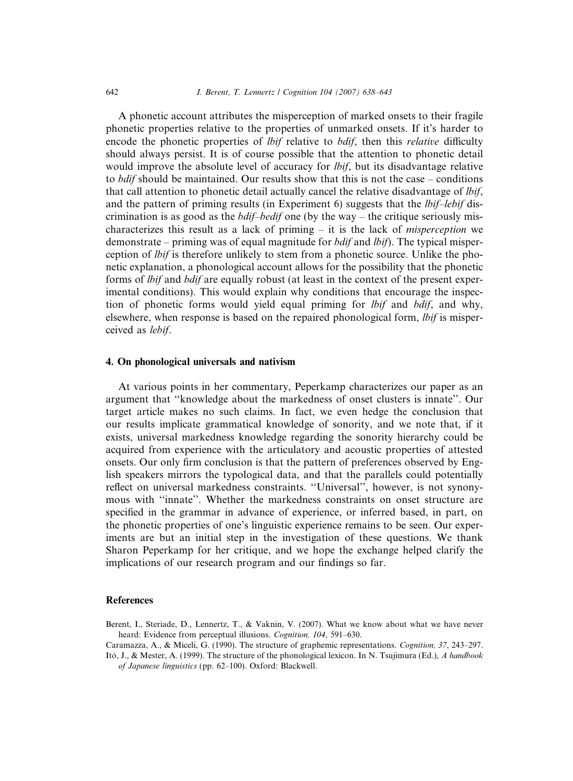A phonetic account attributes the misperception of marked onsets to their fragile phonetic properties relative to the properties of unmarked onsets. If it's harder to encode the phonetic properties of *lbif* relative to *bdif*, then this *relative* difficulty should always persist. It is of course possible that the attention to phonetic detail would improve the absolute level of accuracy for *lbif*, but its disadvantage relative to *bdif* should be maintained. Our results show that this is not the case – conditions that call attention to phonetic detail actually cancel the relative disadvantage of lbif, and the pattern of priming results (in Experiment 6) suggests that the *lbif-lebif* discrimination is as good as the *bdif–bedif* one (by the way – the critique seriously mischaracterizes this result as a lack of priming  $-$  it is the lack of *misperception* we demonstrate – priming was of equal magnitude for *bdif* and *lbif*). The typical misperception of lbif is therefore unlikely to stem from a phonetic source. Unlike the phonetic explanation, a phonological account allows for the possibility that the phonetic forms of lbif and bdif are equally robust (at least in the context of the present experimental conditions). This would explain why conditions that encourage the inspection of phonetic forms would yield equal priming for lbif and bdif, and why, elsewhere, when response is based on the repaired phonological form, *lbif* is misperceived as lebif.

#### 4. On phonological universals and nativism

At various points in her commentary, Peperkamp characterizes our paper as an argument that ''knowledge about the markedness of onset clusters is innate''. Our target article makes no such claims. In fact, we even hedge the conclusion that our results implicate grammatical knowledge of sonority, and we note that, if it exists, universal markedness knowledge regarding the sonority hierarchy could be acquired from experience with the articulatory and acoustic properties of attested onsets. Our only firm conclusion is that the pattern of preferences observed by English speakers mirrors the typological data, and that the parallels could potentially reflect on universal markedness constraints. ''Universal'', however, is not synonymous with ''innate''. Whether the markedness constraints on onset structure are specified in the grammar in advance of experience, or inferred based, in part, on the phonetic properties of one's linguistic experience remains to be seen. Our experiments are but an initial step in the investigation of these questions. We thank Sharon Peperkamp for her critique, and we hope the exchange helped clarify the implications of our research program and our findings so far.

#### **References**

- Berent, I., Steriade, D., Lennertz, T., & Vaknin, V. (2007). What we know about what we have never heard: Evidence from perceptual illusions. Cognition, 104, 591–630.
- Caramazza, A., & Miceli, G. (1990). The structure of graphemic representations. Cognition, 37, 243–297.
- Itô, J., & Mester, A. (1999). The structure of the phonological lexicon. In N. Tsujimura (Ed.), A handbook of Japanese linguistics (pp. 62–100). Oxford: Blackwell.

<span id="page-4-0"></span>